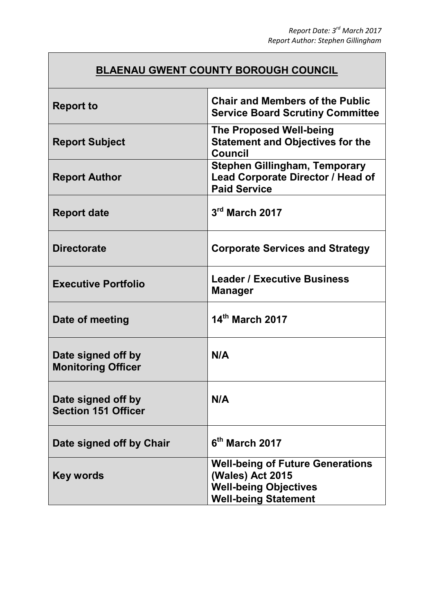## **BLAENAU GWENT COUNTY BOROUGH COUNCIL**

| <b>Report to</b>                                 | <b>Chair and Members of the Public</b><br><b>Service Board Scrutiny Committee</b>                                          |
|--------------------------------------------------|----------------------------------------------------------------------------------------------------------------------------|
| <b>Report Subject</b>                            | <b>The Proposed Well-being</b><br><b>Statement and Objectives for the</b><br><b>Council</b>                                |
| <b>Report Author</b>                             | <b>Stephen Gillingham, Temporary</b><br>Lead Corporate Director / Head of<br><b>Paid Service</b>                           |
| <b>Report date</b>                               | $3rd$ March 2017                                                                                                           |
| <b>Directorate</b>                               | <b>Corporate Services and Strategy</b>                                                                                     |
| <b>Executive Portfolio</b>                       | <b>Leader / Executive Business</b><br><b>Manager</b>                                                                       |
| Date of meeting                                  | 14th March 2017                                                                                                            |
| Date signed off by<br><b>Monitoring Officer</b>  | N/A                                                                                                                        |
| Date signed off by<br><b>Section 151 Officer</b> | N/A                                                                                                                        |
| Date signed off by Chair                         | 6th March 2017                                                                                                             |
| Key words                                        | <b>Well-being of Future Generations</b><br>(Wales) Act 2015<br><b>Well-being Objectives</b><br><b>Well-being Statement</b> |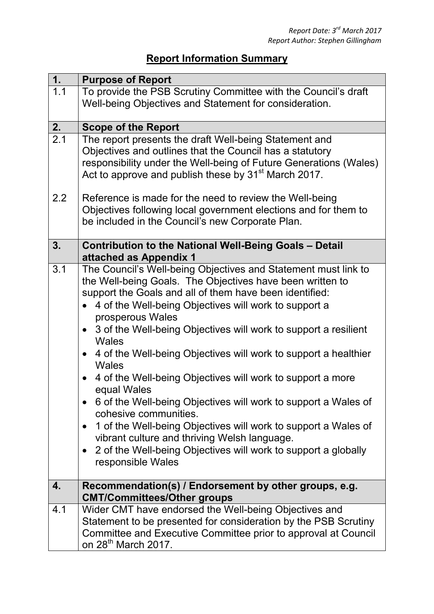## **Report Information Summary**

| 1.               | <b>Purpose of Report</b>                                                                                                              |
|------------------|---------------------------------------------------------------------------------------------------------------------------------------|
| $\overline{1.1}$ | To provide the PSB Scrutiny Committee with the Council's draft                                                                        |
|                  | Well-being Objectives and Statement for consideration.                                                                                |
|                  |                                                                                                                                       |
| 2.               | <b>Scope of the Report</b>                                                                                                            |
| 2.1              | The report presents the draft Well-being Statement and                                                                                |
|                  | Objectives and outlines that the Council has a statutory                                                                              |
|                  | responsibility under the Well-being of Future Generations (Wales)<br>Act to approve and publish these by 31 <sup>st</sup> March 2017. |
|                  |                                                                                                                                       |
| 2.2              | Reference is made for the need to review the Well-being                                                                               |
|                  | Objectives following local government elections and for them to                                                                       |
|                  | be included in the Council's new Corporate Plan.                                                                                      |
|                  |                                                                                                                                       |
| 3.               | <b>Contribution to the National Well-Being Goals - Detail</b>                                                                         |
| 3.1              | attached as Appendix 1<br>The Council's Well-being Objectives and Statement must link to                                              |
|                  | the Well-being Goals. The Objectives have been written to                                                                             |
|                  | support the Goals and all of them have been identified:                                                                               |
|                  | 4 of the Well-being Objectives will work to support a                                                                                 |
|                  | prosperous Wales                                                                                                                      |
|                  | 3 of the Well-being Objectives will work to support a resilient                                                                       |
|                  | <b>Wales</b>                                                                                                                          |
|                  | 4 of the Well-being Objectives will work to support a healthier                                                                       |
|                  | <b>Wales</b>                                                                                                                          |
|                  | 4 of the Well-being Objectives will work to support a more<br>$\bullet$                                                               |
|                  | equal Wales                                                                                                                           |
|                  | 6 of the Well-being Objectives will work to support a Wales of                                                                        |
|                  | cohesive communities.                                                                                                                 |
|                  | 1 of the Well-being Objectives will work to support a Wales of<br>$\bullet$<br>vibrant culture and thriving Welsh language.           |
|                  | 2 of the Well-being Objectives will work to support a globally                                                                        |
|                  | responsible Wales                                                                                                                     |
|                  |                                                                                                                                       |
| 4.               | Recommendation(s) / Endorsement by other groups, e.g.                                                                                 |
|                  | <b>CMT/Committees/Other groups</b>                                                                                                    |
| 4.1              | Wider CMT have endorsed the Well-being Objectives and                                                                                 |
|                  | Statement to be presented for consideration by the PSB Scrutiny                                                                       |
|                  | Committee and Executive Committee prior to approval at Council                                                                        |
|                  | on 28 <sup>th</sup> March 2017.                                                                                                       |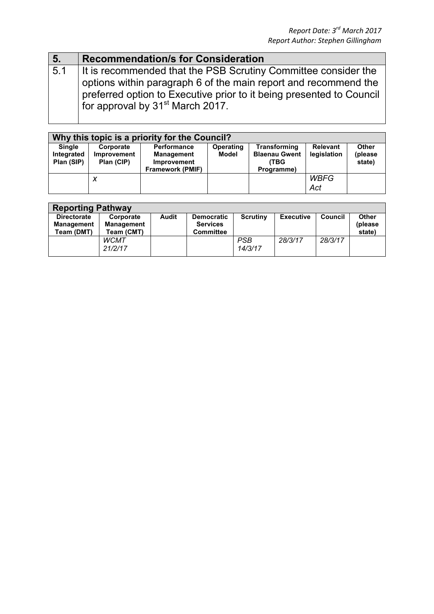| 5.  | <b>Recommendation/s for Consideration</b>                                                                                                                                                                                                                 |
|-----|-----------------------------------------------------------------------------------------------------------------------------------------------------------------------------------------------------------------------------------------------------------|
| 5.1 | It is recommended that the PSB Scrutiny Committee consider the<br>options within paragraph 6 of the main report and recommend the<br>preferred option to Executive prior to it being presented to Council<br>for approval by 31 <sup>st</sup> March 2017. |
|     |                                                                                                                                                                                                                                                           |

| Why this topic is a priority for the Council? |             |                         |                  |                      |                 |              |
|-----------------------------------------------|-------------|-------------------------|------------------|----------------------|-----------------|--------------|
| <b>Single</b>                                 | Corporate   | <b>Performance</b>      | <b>Operating</b> | Transforming         | <b>Relevant</b> | <b>Other</b> |
| Integrated                                    | Improvement | <b>Management</b>       | Model            | <b>Blaenau Gwent</b> | legislation     | (please      |
| Plan (SIP)                                    | Plan (CIP)  | <b>Improvement</b>      |                  | (TBG                 |                 | state)       |
|                                               |             | <b>Framework (PMIF)</b> |                  | Programme)           |                 |              |
|                                               | x           |                         |                  |                      | <b>WBFG</b>     |              |
|                                               |             |                         |                  |                      | Act             |              |

| <b>Reporting Pathway</b>                              |                                              |       |                                                          |                       |                  |                |                            |
|-------------------------------------------------------|----------------------------------------------|-------|----------------------------------------------------------|-----------------------|------------------|----------------|----------------------------|
| <b>Directorate</b><br><b>Management</b><br>Team (DMT) | Corporate<br><b>Management</b><br>Team (CMT) | Audit | <b>Democratic</b><br><b>Services</b><br><b>Committee</b> | <b>Scrutiny</b>       | <b>Executive</b> | <b>Council</b> | Other<br>(please<br>state) |
|                                                       | <b>WCMT</b><br>21/2/17                       |       |                                                          | <b>PSB</b><br>14/3/17 | 28/3/17          | 28/3/17        |                            |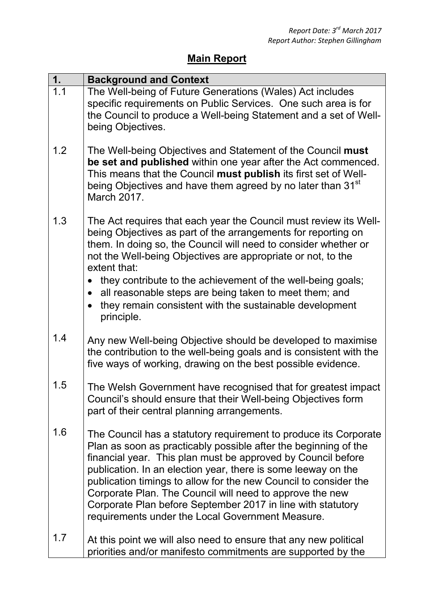## **Main Report**

| 1.  | <b>Background and Context</b>                                                                                                                                                                                                                                                                                                                                                                                                                                                                                           |
|-----|-------------------------------------------------------------------------------------------------------------------------------------------------------------------------------------------------------------------------------------------------------------------------------------------------------------------------------------------------------------------------------------------------------------------------------------------------------------------------------------------------------------------------|
| 1.1 | The Well-being of Future Generations (Wales) Act includes<br>specific requirements on Public Services. One such area is for<br>the Council to produce a Well-being Statement and a set of Well-<br>being Objectives.                                                                                                                                                                                                                                                                                                    |
| 1.2 | The Well-being Objectives and Statement of the Council must<br>be set and published within one year after the Act commenced.<br>This means that the Council must publish its first set of Well-<br>being Objectives and have them agreed by no later than 31 <sup>st</sup><br>March 2017.                                                                                                                                                                                                                               |
| 1.3 | The Act requires that each year the Council must review its Well-<br>being Objectives as part of the arrangements for reporting on<br>them. In doing so, the Council will need to consider whether or<br>not the Well-being Objectives are appropriate or not, to the<br>extent that:<br>they contribute to the achievement of the well-being goals;<br>all reasonable steps are being taken to meet them; and<br>they remain consistent with the sustainable development<br>principle.                                 |
| 1.4 | Any new Well-being Objective should be developed to maximise<br>the contribution to the well-being goals and is consistent with the<br>five ways of working, drawing on the best possible evidence.                                                                                                                                                                                                                                                                                                                     |
| 1.5 | The Welsh Government have recognised that for greatest impact<br>Council's should ensure that their Well-being Objectives form<br>part of their central planning arrangements.                                                                                                                                                                                                                                                                                                                                          |
| 1.6 | The Council has a statutory requirement to produce its Corporate<br>Plan as soon as practicably possible after the beginning of the<br>financial year. This plan must be approved by Council before<br>publication. In an election year, there is some leeway on the<br>publication timings to allow for the new Council to consider the<br>Corporate Plan. The Council will need to approve the new<br>Corporate Plan before September 2017 in line with statutory<br>requirements under the Local Government Measure. |
| 1.7 | At this point we will also need to ensure that any new political<br>priorities and/or manifesto commitments are supported by the                                                                                                                                                                                                                                                                                                                                                                                        |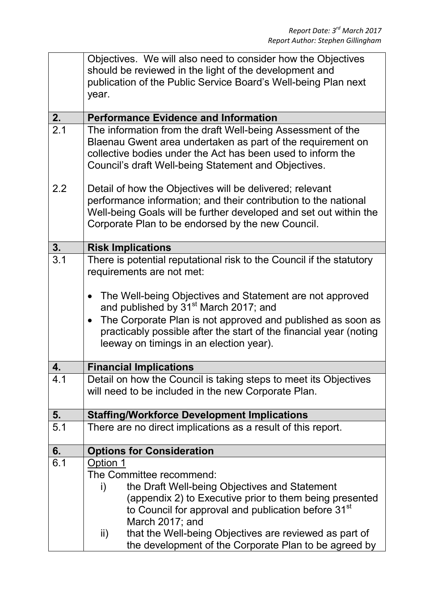|                  | Objectives. We will also need to consider how the Objectives<br>should be reviewed in the light of the development and<br>publication of the Public Service Board's Well-being Plan next<br>year.                                                     |  |  |  |  |
|------------------|-------------------------------------------------------------------------------------------------------------------------------------------------------------------------------------------------------------------------------------------------------|--|--|--|--|
| 2.               | <b>Performance Evidence and Information</b>                                                                                                                                                                                                           |  |  |  |  |
| $\overline{2.1}$ | The information from the draft Well-being Assessment of the<br>Blaenau Gwent area undertaken as part of the requirement on<br>collective bodies under the Act has been used to inform the<br>Council's draft Well-being Statement and Objectives.     |  |  |  |  |
| 2.2              | Detail of how the Objectives will be delivered; relevant<br>performance information; and their contribution to the national<br>Well-being Goals will be further developed and set out within the<br>Corporate Plan to be endorsed by the new Council. |  |  |  |  |
| 3.               | <b>Risk Implications</b>                                                                                                                                                                                                                              |  |  |  |  |
| $\overline{3.1}$ | There is potential reputational risk to the Council if the statutory<br>requirements are not met:                                                                                                                                                     |  |  |  |  |
|                  | The Well-being Objectives and Statement are not approved<br>and published by 31 <sup>st</sup> March 2017; and                                                                                                                                         |  |  |  |  |
|                  | The Corporate Plan is not approved and published as soon as<br>$\bullet$<br>practicably possible after the start of the financial year (noting<br>leeway on timings in an election year).                                                             |  |  |  |  |
| 4.               | <b>Financial Implications</b>                                                                                                                                                                                                                         |  |  |  |  |
| 4.1              | Detail on how the Council is taking steps to meet its Objectives<br>will need to be included in the new Corporate Plan.                                                                                                                               |  |  |  |  |
| 5.               | <b>Staffing/Workforce Development Implications</b>                                                                                                                                                                                                    |  |  |  |  |
| 5.1              | There are no direct implications as a result of this report.                                                                                                                                                                                          |  |  |  |  |
| 6.               | <b>Options for Consideration</b>                                                                                                                                                                                                                      |  |  |  |  |
| 6.1              | Option 1                                                                                                                                                                                                                                              |  |  |  |  |
|                  | The Committee recommend:                                                                                                                                                                                                                              |  |  |  |  |
|                  | the Draft Well-being Objectives and Statement<br>i)                                                                                                                                                                                                   |  |  |  |  |
|                  | (appendix 2) to Executive prior to them being presented<br>to Council for approval and publication before 31 <sup>st</sup>                                                                                                                            |  |  |  |  |
|                  | March 2017; and                                                                                                                                                                                                                                       |  |  |  |  |
|                  | that the Well-being Objectives are reviewed as part of<br>ii)<br>the development of the Corporate Plan to be agreed by                                                                                                                                |  |  |  |  |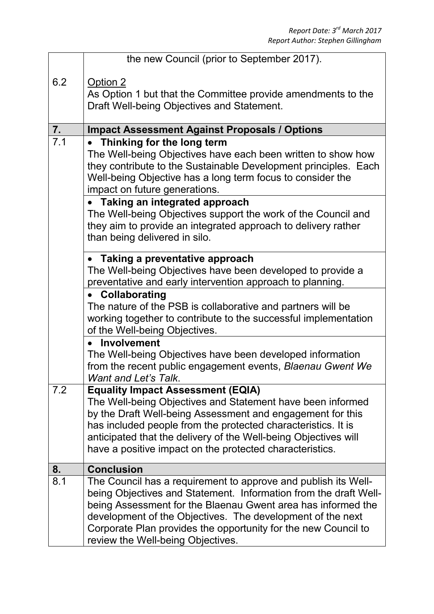|     | the new Council (prior to September 2017).                                                                                     |  |  |  |  |  |
|-----|--------------------------------------------------------------------------------------------------------------------------------|--|--|--|--|--|
| 6.2 | Option 2                                                                                                                       |  |  |  |  |  |
|     | As Option 1 but that the Committee provide amendments to the                                                                   |  |  |  |  |  |
|     | Draft Well-being Objectives and Statement.                                                                                     |  |  |  |  |  |
| 7.  | <b>Impact Assessment Against Proposals / Options</b>                                                                           |  |  |  |  |  |
| 7.1 | Thinking for the long term                                                                                                     |  |  |  |  |  |
|     | The Well-being Objectives have each been written to show how                                                                   |  |  |  |  |  |
|     | they contribute to the Sustainable Development principles. Each                                                                |  |  |  |  |  |
|     | Well-being Objective has a long term focus to consider the                                                                     |  |  |  |  |  |
|     | impact on future generations.                                                                                                  |  |  |  |  |  |
|     | • Taking an integrated approach                                                                                                |  |  |  |  |  |
|     | The Well-being Objectives support the work of the Council and<br>they aim to provide an integrated approach to delivery rather |  |  |  |  |  |
|     | than being delivered in silo.                                                                                                  |  |  |  |  |  |
|     |                                                                                                                                |  |  |  |  |  |
|     | • Taking a preventative approach                                                                                               |  |  |  |  |  |
|     | The Well-being Objectives have been developed to provide a                                                                     |  |  |  |  |  |
|     | preventative and early intervention approach to planning.<br>• Collaborating                                                   |  |  |  |  |  |
|     | The nature of the PSB is collaborative and partners will be                                                                    |  |  |  |  |  |
|     | working together to contribute to the successful implementation                                                                |  |  |  |  |  |
|     | of the Well-being Objectives.                                                                                                  |  |  |  |  |  |
|     | <b>Involvement</b>                                                                                                             |  |  |  |  |  |
|     | The Well-being Objectives have been developed information                                                                      |  |  |  |  |  |
|     | from the recent public engagement events, Blaenau Gwent We<br><b>Want and Let's Talk.</b>                                      |  |  |  |  |  |
| 7.2 | <b>Equality Impact Assessment (EQIA)</b>                                                                                       |  |  |  |  |  |
|     | The Well-being Objectives and Statement have been informed                                                                     |  |  |  |  |  |
|     | by the Draft Well-being Assessment and engagement for this                                                                     |  |  |  |  |  |
|     | has included people from the protected characteristics. It is                                                                  |  |  |  |  |  |
|     | anticipated that the delivery of the Well-being Objectives will                                                                |  |  |  |  |  |
|     | have a positive impact on the protected characteristics.                                                                       |  |  |  |  |  |
| 8.  | <b>Conclusion</b>                                                                                                              |  |  |  |  |  |
| 8.1 | The Council has a requirement to approve and publish its Well-                                                                 |  |  |  |  |  |
|     | being Objectives and Statement. Information from the draft Well-                                                               |  |  |  |  |  |
|     | being Assessment for the Blaenau Gwent area has informed the                                                                   |  |  |  |  |  |
|     | development of the Objectives. The development of the next<br>Corporate Plan provides the opportunity for the new Council to   |  |  |  |  |  |
|     | review the Well-being Objectives.                                                                                              |  |  |  |  |  |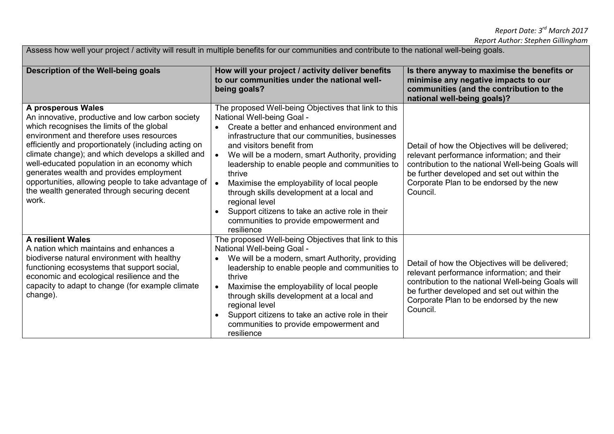Assess how well your project / activity will result in multiple benefits for our communities and contribute to the national well-being goals.

| Description of the Well-being goals                                                                                                                                                                                                                                                                                                                                                                                                                                                      | How will your project / activity deliver benefits<br>to our communities under the national well-<br>being goals?                                                                                                                                                                                                                                                                                                                                                                                                                                                        | Is there anyway to maximise the benefits or<br>minimise any negative impacts to our<br>communities (and the contribution to the<br>national well-being goals)?                                                                                              |
|------------------------------------------------------------------------------------------------------------------------------------------------------------------------------------------------------------------------------------------------------------------------------------------------------------------------------------------------------------------------------------------------------------------------------------------------------------------------------------------|-------------------------------------------------------------------------------------------------------------------------------------------------------------------------------------------------------------------------------------------------------------------------------------------------------------------------------------------------------------------------------------------------------------------------------------------------------------------------------------------------------------------------------------------------------------------------|-------------------------------------------------------------------------------------------------------------------------------------------------------------------------------------------------------------------------------------------------------------|
| A prosperous Wales<br>An innovative, productive and low carbon society<br>which recognises the limits of the global<br>environment and therefore uses resources<br>efficiently and proportionately (including acting on<br>climate change); and which develops a skilled and<br>well-educated population in an economy which<br>generates wealth and provides employment<br>opportunities, allowing people to take advantage of<br>the wealth generated through securing decent<br>work. | The proposed Well-being Objectives that link to this<br>National Well-being Goal -<br>Create a better and enhanced environment and<br>infrastructure that our communities, businesses<br>and visitors benefit from<br>We will be a modern, smart Authority, providing<br>leadership to enable people and communities to<br>thrive<br>Maximise the employability of local people<br>through skills development at a local and<br>regional level<br>Support citizens to take an active role in their<br>$\bullet$<br>communities to provide empowerment and<br>resilience | Detail of how the Objectives will be delivered;<br>relevant performance information; and their<br>contribution to the national Well-being Goals will<br>be further developed and set out within the<br>Corporate Plan to be endorsed by the new<br>Council. |
| <b>A resilient Wales</b><br>A nation which maintains and enhances a<br>biodiverse natural environment with healthy<br>functioning ecosystems that support social,<br>economic and ecological resilience and the<br>capacity to adapt to change (for example climate<br>change).                                                                                                                                                                                                          | The proposed Well-being Objectives that link to this<br>National Well-being Goal -<br>We will be a modern, smart Authority, providing<br>$\bullet$<br>leadership to enable people and communities to<br>thrive<br>Maximise the employability of local people<br>through skills development at a local and<br>regional level<br>Support citizens to take an active role in their<br>communities to provide empowerment and<br>resilience                                                                                                                                 | Detail of how the Objectives will be delivered;<br>relevant performance information; and their<br>contribution to the national Well-being Goals will<br>be further developed and set out within the<br>Corporate Plan to be endorsed by the new<br>Council. |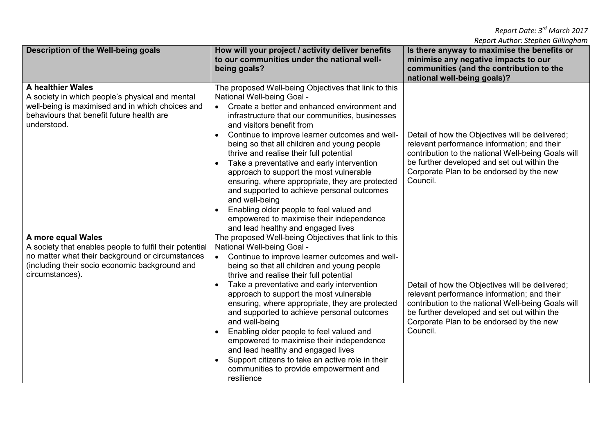| Description of the Well-being goals<br>How will your project / activity deliver benefits                                                                                                    |                                                                                                                                                                                                                                                                                                                                                                                                                                                                                                                                                                                                                                                                                                                       | Is there anyway to maximise the benefits or                                                                                                                                                                                                                 |  |
|---------------------------------------------------------------------------------------------------------------------------------------------------------------------------------------------|-----------------------------------------------------------------------------------------------------------------------------------------------------------------------------------------------------------------------------------------------------------------------------------------------------------------------------------------------------------------------------------------------------------------------------------------------------------------------------------------------------------------------------------------------------------------------------------------------------------------------------------------------------------------------------------------------------------------------|-------------------------------------------------------------------------------------------------------------------------------------------------------------------------------------------------------------------------------------------------------------|--|
|                                                                                                                                                                                             | to our communities under the national well-                                                                                                                                                                                                                                                                                                                                                                                                                                                                                                                                                                                                                                                                           | minimise any negative impacts to our                                                                                                                                                                                                                        |  |
|                                                                                                                                                                                             | being goals?                                                                                                                                                                                                                                                                                                                                                                                                                                                                                                                                                                                                                                                                                                          | communities (and the contribution to the                                                                                                                                                                                                                    |  |
|                                                                                                                                                                                             |                                                                                                                                                                                                                                                                                                                                                                                                                                                                                                                                                                                                                                                                                                                       | national well-being goals)?                                                                                                                                                                                                                                 |  |
| <b>A healthier Wales</b><br>A society in which people's physical and mental<br>well-being is maximised and in which choices and<br>behaviours that benefit future health are<br>understood. | The proposed Well-being Objectives that link to this<br>National Well-being Goal -<br>Create a better and enhanced environment and<br>$\bullet$<br>infrastructure that our communities, businesses<br>and visitors benefit from<br>Continue to improve learner outcomes and well-<br>being so that all children and young people<br>thrive and realise their full potential<br>Take a preventative and early intervention<br>approach to support the most vulnerable<br>ensuring, where appropriate, they are protected<br>and supported to achieve personal outcomes<br>and well-being<br>Enabling older people to feel valued and<br>empowered to maximise their independence<br>and lead healthy and engaged lives | Detail of how the Objectives will be delivered;<br>relevant performance information; and their<br>contribution to the national Well-being Goals will<br>be further developed and set out within the<br>Corporate Plan to be endorsed by the new<br>Council. |  |
| A more equal Wales                                                                                                                                                                          | The proposed Well-being Objectives that link to this                                                                                                                                                                                                                                                                                                                                                                                                                                                                                                                                                                                                                                                                  |                                                                                                                                                                                                                                                             |  |
| A society that enables people to fulfil their potential                                                                                                                                     | National Well-being Goal -                                                                                                                                                                                                                                                                                                                                                                                                                                                                                                                                                                                                                                                                                            |                                                                                                                                                                                                                                                             |  |
| no matter what their background or circumstances<br>(including their socio economic background and<br>circumstances).                                                                       | Continue to improve learner outcomes and well-<br>being so that all children and young people<br>thrive and realise their full potential<br>Take a preventative and early intervention<br>$\bullet$                                                                                                                                                                                                                                                                                                                                                                                                                                                                                                                   | Detail of how the Objectives will be delivered;                                                                                                                                                                                                             |  |
|                                                                                                                                                                                             | approach to support the most vulnerable<br>ensuring, where appropriate, they are protected<br>and supported to achieve personal outcomes<br>and well-being<br>Enabling older people to feel valued and<br>empowered to maximise their independence<br>and lead healthy and engaged lives<br>Support citizens to take an active role in their<br>communities to provide empowerment and<br>resilience                                                                                                                                                                                                                                                                                                                  | relevant performance information; and their<br>contribution to the national Well-being Goals will<br>be further developed and set out within the<br>Corporate Plan to be endorsed by the new<br>Council.                                                    |  |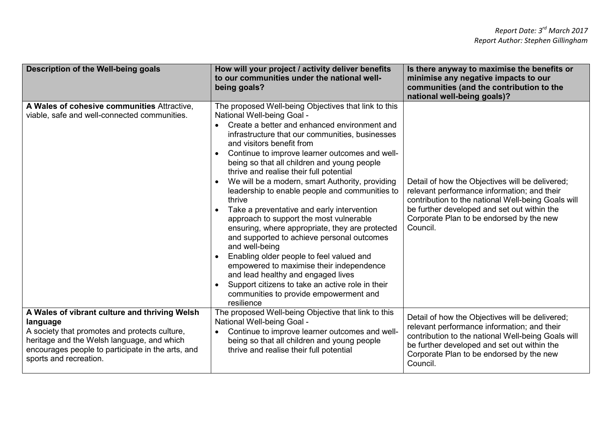| Description of the Well-being goals                                                                                                                                                                                                     | How will your project / activity deliver benefits<br>to our communities under the national well-<br>being goals?                                                                                                                                                                                                                                                                                                                                                                                                                                                                                                                                                                                                                                                                                                                                                                                                                                 | Is there anyway to maximise the benefits or<br>minimise any negative impacts to our<br>communities (and the contribution to the<br>national well-being goals)?                                                                                              |
|-----------------------------------------------------------------------------------------------------------------------------------------------------------------------------------------------------------------------------------------|--------------------------------------------------------------------------------------------------------------------------------------------------------------------------------------------------------------------------------------------------------------------------------------------------------------------------------------------------------------------------------------------------------------------------------------------------------------------------------------------------------------------------------------------------------------------------------------------------------------------------------------------------------------------------------------------------------------------------------------------------------------------------------------------------------------------------------------------------------------------------------------------------------------------------------------------------|-------------------------------------------------------------------------------------------------------------------------------------------------------------------------------------------------------------------------------------------------------------|
| A Wales of cohesive communities Attractive,<br>viable, safe and well-connected communities.                                                                                                                                             | The proposed Well-being Objectives that link to this<br>National Well-being Goal -<br>Create a better and enhanced environment and<br>infrastructure that our communities, businesses<br>and visitors benefit from<br>Continue to improve learner outcomes and well-<br>being so that all children and young people<br>thrive and realise their full potential<br>We will be a modern, smart Authority, providing<br>leadership to enable people and communities to<br>thrive<br>Take a preventative and early intervention<br>$\bullet$<br>approach to support the most vulnerable<br>ensuring, where appropriate, they are protected<br>and supported to achieve personal outcomes<br>and well-being<br>Enabling older people to feel valued and<br>empowered to maximise their independence<br>and lead healthy and engaged lives<br>Support citizens to take an active role in their<br>communities to provide empowerment and<br>resilience | Detail of how the Objectives will be delivered;<br>relevant performance information; and their<br>contribution to the national Well-being Goals will<br>be further developed and set out within the<br>Corporate Plan to be endorsed by the new<br>Council. |
| A Wales of vibrant culture and thriving Welsh<br>language<br>A society that promotes and protects culture,<br>heritage and the Welsh language, and which<br>encourages people to participate in the arts, and<br>sports and recreation. | The proposed Well-being Objective that link to this<br>National Well-being Goal -<br>Continue to improve learner outcomes and well-<br>being so that all children and young people<br>thrive and realise their full potential                                                                                                                                                                                                                                                                                                                                                                                                                                                                                                                                                                                                                                                                                                                    | Detail of how the Objectives will be delivered;<br>relevant performance information; and their<br>contribution to the national Well-being Goals will<br>be further developed and set out within the<br>Corporate Plan to be endorsed by the new<br>Council. |